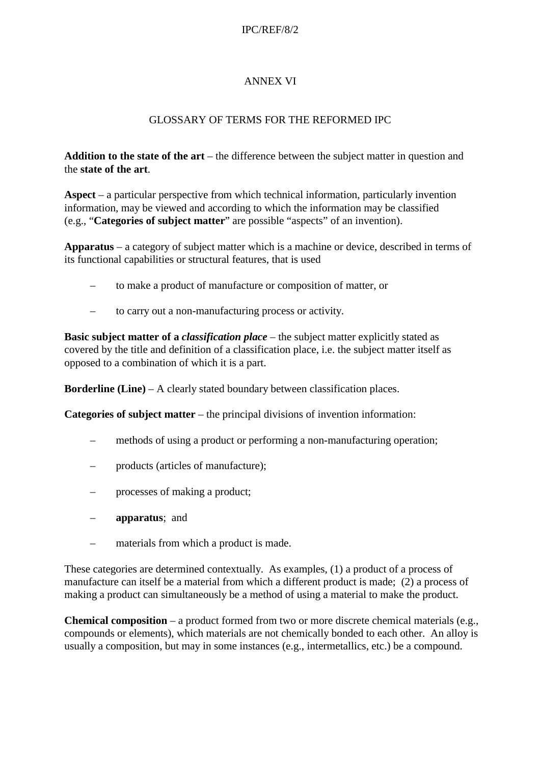#### IPC/REF/8/2

# ANNEX VI

### GLOSSARY OF TERMS FOR THE REFORMED IPC

**Addition to the state of the art** – the difference between the subject matter in question and the **state of the art**.

**Aspect** – a particular perspective from which technical information, particularly invention information, may be viewed and according to which the information may be classified (e.g., "**Categories of subject matter**" are possible "aspects" of an invention).

**Apparatus** – a category of subject matter which is a machine or device, described in terms of its functional capabilities or structural features, that is used

- to make a product of manufacture or composition of matter, or
- to carry out a non-manufacturing process or activity.

**Basic subject matter of a** *classification place* – the subject matter explicitly stated as covered by the title and definition of a classification place, i.e. the subject matter itself as opposed to a combination of which it is a part.

**Borderline (Line)** – A clearly stated boundary between classification places.

**Categories of subject matter** – the principal divisions of invention information:

- methods of using a product or performing a non-manufacturing operation;
- products (articles of manufacture);
- processes of making a product;
- **apparatus**; and
- materials from which a product is made.

These categories are determined contextually. As examples, (1) a product of a process of manufacture can itself be a material from which a different product is made; (2) a process of making a product can simultaneously be a method of using a material to make the product.

**Chemical composition** – a product formed from two or more discrete chemical materials (e.g., compounds or elements), which materials are not chemically bonded to each other. An alloy is usually a composition, but may in some instances (e.g., intermetallics, etc.) be a compound.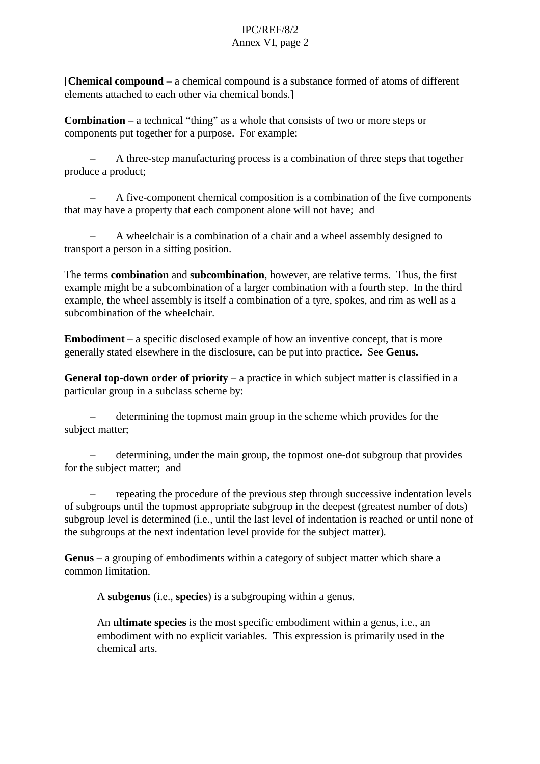[**Chemical compound** – a chemical compound is a substance formed of atoms of different elements attached to each other via chemical bonds.]

**Combination** – a technical "thing" as a whole that consists of two or more steps or components put together for a purpose. For example:

– A three-step manufacturing process is a combination of three steps that together produce a product;

– A five-component chemical composition is a combination of the five components that may have a property that each component alone will not have; and

– A wheelchair is a combination of a chair and a wheel assembly designed to transport a person in a sitting position.

The terms **combination** and **subcombination**, however, are relative terms. Thus, the first example might be a subcombination of a larger combination with a fourth step. In the third example, the wheel assembly is itself a combination of a tyre, spokes, and rim as well as a subcombination of the wheelchair.

**Embodiment** – a specific disclosed example of how an inventive concept, that is more generally stated elsewhere in the disclosure, can be put into practice**.** See **Genus.**

**General top-down order of priority** – a practice in which subject matter is classified in a particular group in a subclass scheme by:

– determining the topmost main group in the scheme which provides for the subject matter;

– determining, under the main group, the topmost one-dot subgroup that provides for the subject matter; and

– repeating the procedure of the previous step through successive indentation levels of subgroups until the topmost appropriate subgroup in the deepest (greatest number of dots) subgroup level is determined (i.e., until the last level of indentation is reached or until none of the subgroups at the next indentation level provide for the subject matter)*.*

**Genus** – a grouping of embodiments within a category of subject matter which share a common limitation.

A **subgenus** (i.e., **species**) is a subgrouping within a genus.

An **ultimate species** is the most specific embodiment within a genus, i.e., an embodiment with no explicit variables. This expression is primarily used in the chemical arts.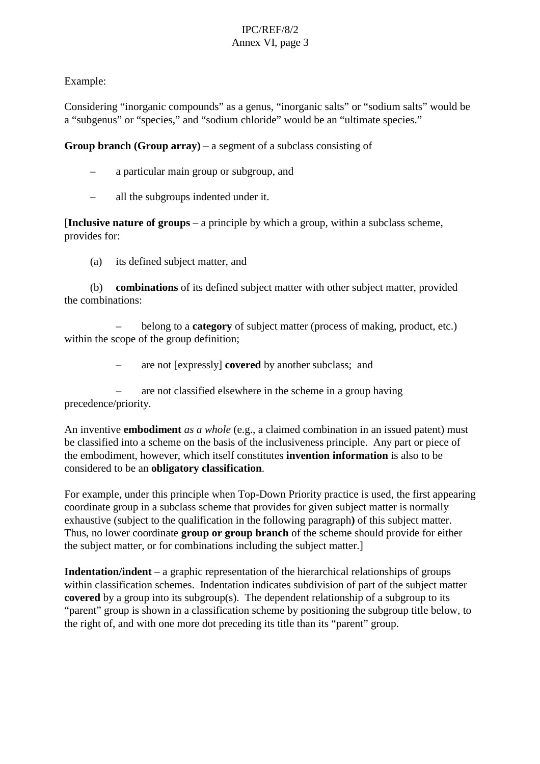Example:

Considering "inorganic compounds" as a genus, "inorganic salts" or "sodium salts" would be a "subgenus" or "species," and "sodium chloride" would be an "ultimate species."

**Group branch (Group array)** – a segment of a subclass consisting of

- a particular main group or subgroup, and
- all the subgroups indented under it.

[**Inclusive nature of groups** – a principle by which a group, within a subclass scheme, provides for:

(a) its defined subject matter, and

(b) **combinations** of its defined subject matter with other subject matter, provided the combinations:

– belong to a **category** of subject matter (process of making, product, etc.) within the scope of the group definition;

– are not [expressly] **covered** by another subclass; and

– are not classified elsewhere in the scheme in a group having precedence/priority.

An inventive **embodiment** *as a whole* (e.g., a claimed combination in an issued patent) must be classified into a scheme on the basis of the inclusiveness principle. Any part or piece of the embodiment, however, which itself constitutes **invention information** is also to be considered to be an **obligatory classification**.

For example, under this principle when Top-Down Priority practice is used, the first appearing coordinate group in a subclass scheme that provides for given subject matter is normally exhaustive (subject to the qualification in the following paragraph**)** of this subject matter. Thus, no lower coordinate **group or group branch** of the scheme should provide for either the subject matter, or for combinations including the subject matter.]

**Indentation/indent** – a graphic representation of the hierarchical relationships of groups within classification schemes. Indentation indicates subdivision of part of the subject matter **covered** by a group into its subgroup(s). The dependent relationship of a subgroup to its "parent" group is shown in a classification scheme by positioning the subgroup title below, to the right of, and with one more dot preceding its title than its "parent" group.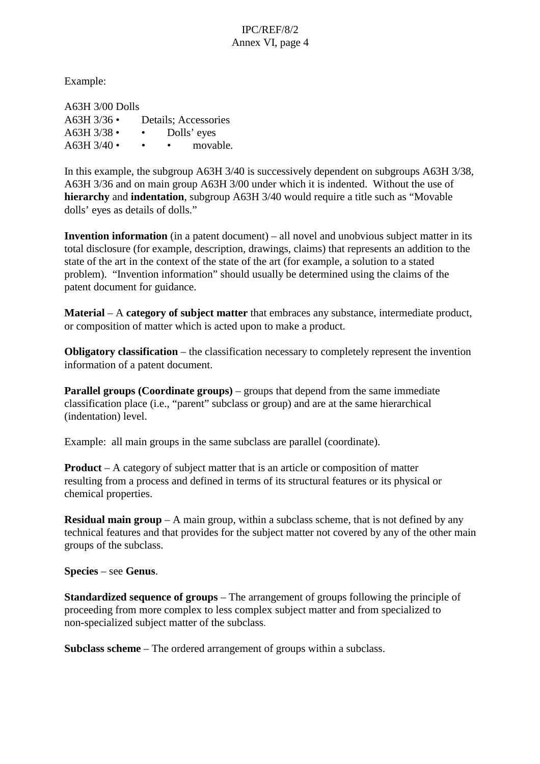Example:

A63H 3/00 Dolls A63H 3/36 • Details; Accessories  $A63H3/38$  • • Dolls' eyes  $A63H3/40 \bullet \bullet \bullet \bullet \text{ movable}.$ 

In this example, the subgroup A63H 3/40 is successively dependent on subgroups A63H 3/38, A63H 3/36 and on main group A63H 3/00 under which it is indented. Without the use of **hierarchy** and **indentation**, subgroup A63H 3/40 would require a title such as "Movable dolls' eyes as details of dolls."

**Invention information** (in a patent document) – all novel and unobvious subject matter in its total disclosure (for example, description, drawings, claims) that represents an addition to the state of the art in the context of the state of the art (for example, a solution to a stated problem). "Invention information" should usually be determined using the claims of the patent document for guidance.

**Material** – A **category of subject matter** that embraces any substance, intermediate product, or composition of matter which is acted upon to make a product.

**Obligatory classification** – the classification necessary to completely represent the invention information of a patent document.

**Parallel groups (Coordinate groups)** – groups that depend from the same immediate classification place (i.e., "parent" subclass or group) and are at the same hierarchical (indentation) level.

Example: all main groups in the same subclass are parallel (coordinate).

**Product** – A category of subject matter that is an article or composition of matter resulting from a process and defined in terms of its structural features or its physical or chemical properties.

**Residual main group** – A main group, within a subclass scheme, that is not defined by any technical features and that provides for the subject matter not covered by any of the other main groups of the subclass.

**Species** – see **Genus**.

**Standardized sequence of groups** – The arrangement of groups following the principle of proceeding from more complex to less complex subject matter and from specialized to non-specialized subject matter of the subclass.

**Subclass scheme** – The ordered arrangement of groups within a subclass.